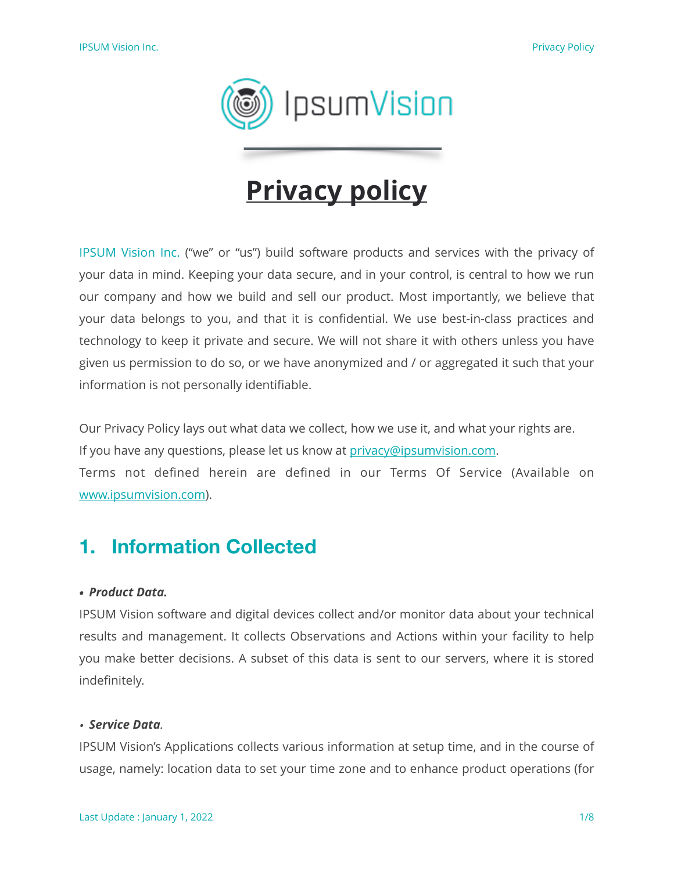

# **Privacy policy**

IPSUM Vision Inc. ("we" or "us") build software products and services with the privacy of your data in mind. Keeping your data secure, and in your control, is central to how we run our company and how we build and sell our product. Most importantly, we believe that your data belongs to you, and that it is confidential. We use best-in-class practices and technology to keep it private and secure. We will not share it with others unless you have given us permission to do so, or we have anonymized and / or aggregated it such that your information is not personally identifiable.

Our Privacy Policy lays out what data we collect, how we use it, and what your rights are. If you have any questions, please let us know at [privacy@ipsumvision.com.](mailto:privacy@ipsumvision.com?subject=Privacy%20question&body=Please%20write%20your%20question%20about%20Privacy%20Policy.) Terms not defined herein are defined in our Terms Of Service (Available on [www.ipsumvision.com\)](http://www.ipsumvision.com).

### **1. Information Collected**

#### *• Product Data.*

IPSUM Vision software and digital devices collect and/or monitor data about your technical results and management. It collects Observations and Actions within your facility to help you make better decisions. A subset of this data is sent to our servers, where it is stored indefinitely.

#### *• Service Data.*

IPSUM Vision's Applications collects various information at setup time, and in the course of usage, namely: location data to set your time zone and to enhance product operations (for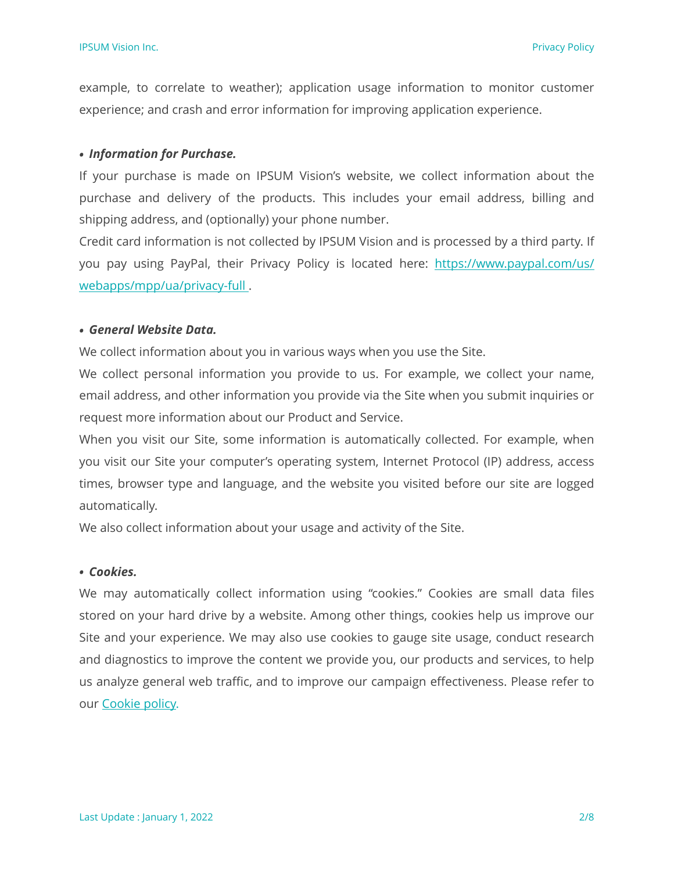example, to correlate to weather); application usage information to monitor customer experience; and crash and error information for improving application experience.

#### *• Information for Purchase.*

If your purchase is made on IPSUM Vision's website, we collect information about the purchase and delivery of the products. This includes your email address, billing and shipping address, and (optionally) your phone number.

Credit card information is not collected by IPSUM Vision and is processed by a third party. If you pay using PayPal, their Privacy Policy is located here: [https://www.paypal.com/us/](https://www.paypal.com/us/webapps/mpp/ua/privacy-full) [webapps/mpp/ua/privacy-full .](https://www.paypal.com/us/webapps/mpp/ua/privacy-full)

#### *• General Website Data.*

We collect information about you in various ways when you use the Site.

We collect personal information you provide to us. For example, we collect your name, email address, and other information you provide via the Site when you submit inquiries or request more information about our Product and Service.

When you visit our Site, some information is automatically collected. For example, when you visit our Site your computer's operating system, Internet Protocol (IP) address, access times, browser type and language, and the website you visited before our site are logged automatically.

We also collect information about your usage and activity of the Site.

#### *• Cookies.*

We may automatically collect information using "cookies." Cookies are small data files stored on your hard drive by a website. Among other things, cookies help us improve our Site and your experience. We may also use cookies to gauge site usage, conduct research and diagnostics to improve the content we provide you, our products and services, to help us analyze general web traffic, and to improve our campaign effectiveness. Please refer to our [Cookie policy.](http://www.crm-vision.com/WebPages/WebPage/c044a6e7-6cf8-4e00-fd8f-08d63383b05c)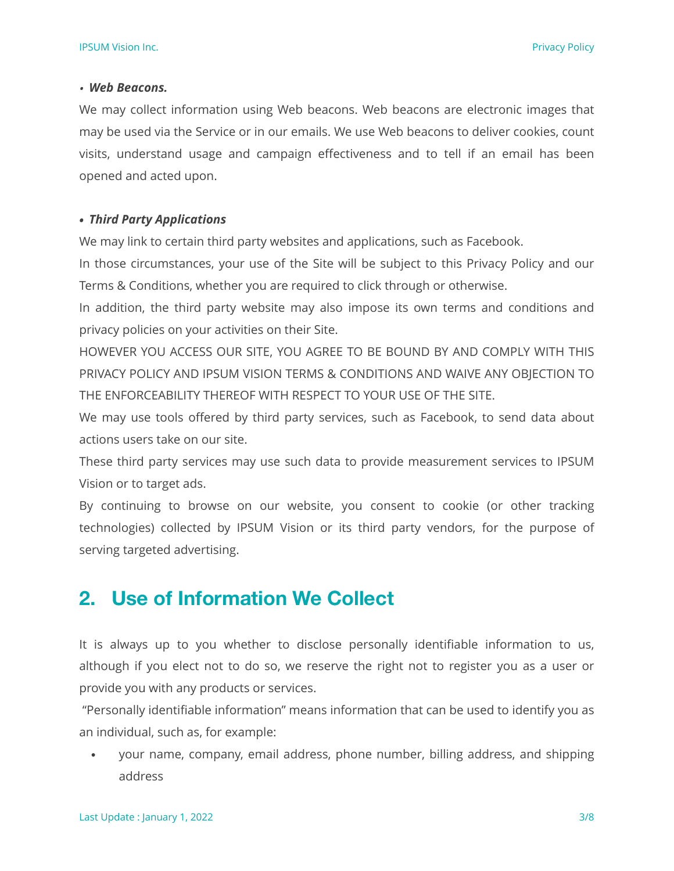#### *• Web Beacons.*

We may collect information using Web beacons. Web beacons are electronic images that may be used via the Service or in our emails. We use Web beacons to deliver cookies, count visits, understand usage and campaign effectiveness and to tell if an email has been opened and acted upon.

#### *• Third Party Applications*

We may link to certain third party websites and applications, such as Facebook.

In those circumstances, your use of the Site will be subject to this Privacy Policy and our Terms & Conditions, whether you are required to click through or otherwise.

In addition, the third party website may also impose its own terms and conditions and privacy policies on your activities on their Site.

HOWEVER YOU ACCESS OUR SITE, YOU AGREE TO BE BOUND BY AND COMPLY WITH THIS PRIVACY POLICY AND IPSUM VISION TERMS & CONDITIONS AND WAIVE ANY OBJECTION TO THE ENFORCEABILITY THEREOF WITH RESPECT TO YOUR USE OF THE SITE.

We may use tools offered by third party services, such as Facebook, to send data about actions users take on our site.

These third party services may use such data to provide measurement services to IPSUM Vision or to target ads.

By continuing to browse on our website, you consent to cookie (or other tracking technologies) collected by IPSUM Vision or its third party vendors, for the purpose of serving targeted advertising.

## **2. Use of Information We Collect**

It is always up to you whether to disclose personally identifiable information to us, although if you elect not to do so, we reserve the right not to register you as a user or provide you with any products or services.

 "Personally identifiable information" means information that can be used to identify you as an individual, such as, for example:

• your name, company, email address, phone number, billing address, and shipping address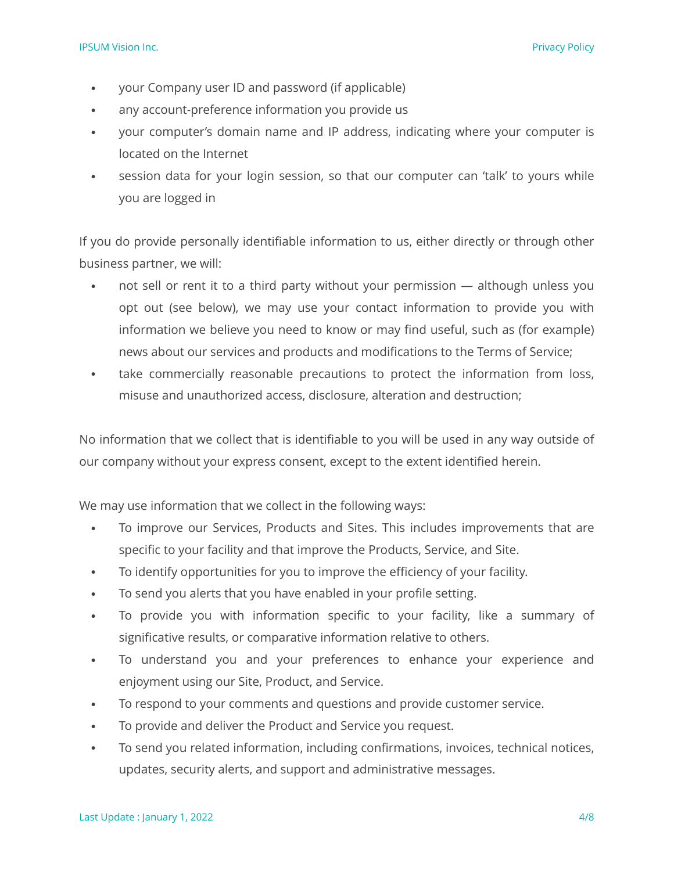- your Company user ID and password (if applicable)
- any account-preference information you provide us
- your computer's domain name and IP address, indicating where your computer is located on the Internet
- session data for your login session, so that our computer can 'talk' to yours while you are logged in

If you do provide personally identifiable information to us, either directly or through other business partner, we will:

- not sell or rent it to a third party without your permission although unless you opt out (see below), we may use your contact information to provide you with information we believe you need to know or may find useful, such as (for example) news about our services and products and modifications to the Terms of Service;
- take commercially reasonable precautions to protect the information from loss, misuse and unauthorized access, disclosure, alteration and destruction;

No information that we collect that is identifiable to you will be used in any way outside of our company without your express consent, except to the extent identified herein.

We may use information that we collect in the following ways:

- To improve our Services, Products and Sites. This includes improvements that are specific to your facility and that improve the Products, Service, and Site.
- To identify opportunities for you to improve the efficiency of your facility.
- To send you alerts that you have enabled in your profile setting.
- To provide you with information specific to your facility, like a summary of significative results, or comparative information relative to others.
- To understand you and your preferences to enhance your experience and enjoyment using our Site, Product, and Service.
- To respond to your comments and questions and provide customer service.
- To provide and deliver the Product and Service you request.
- To send you related information, including confirmations, invoices, technical notices, updates, security alerts, and support and administrative messages.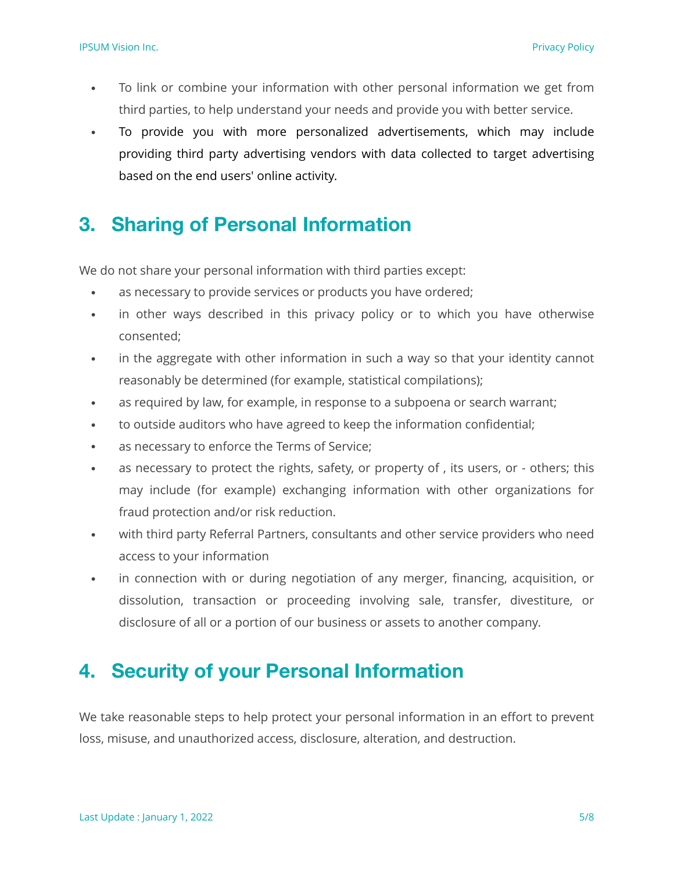- To link or combine your information with other personal information we get from third parties, to help understand your needs and provide you with better service.
- To provide you with more personalized advertisements, which may include providing third party advertising vendors with data collected to target advertising based on the end users' online activity.

# **3. Sharing of Personal Information**

We do not share your personal information with third parties except:

- as necessary to provide services or products you have ordered;
- in other ways described in this privacy policy or to which you have otherwise consented;
- in the aggregate with other information in such a way so that your identity cannot reasonably be determined (for example, statistical compilations);
- as required by law, for example, in response to a subpoena or search warrant;
- to outside auditors who have agreed to keep the information confidential;
- as necessary to enforce the Terms of Service;
- as necessary to protect the rights, safety, or property of , its users, or others; this may include (for example) exchanging information with other organizations for fraud protection and/or risk reduction.
- with third party Referral Partners, consultants and other service providers who need access to your information
- in connection with or during negotiation of any merger, financing, acquisition, or dissolution, transaction or proceeding involving sale, transfer, divestiture, or disclosure of all or a portion of our business or assets to another company.

### **4. Security of your Personal Information**

We take reasonable steps to help protect your personal information in an effort to prevent loss, misuse, and unauthorized access, disclosure, alteration, and destruction.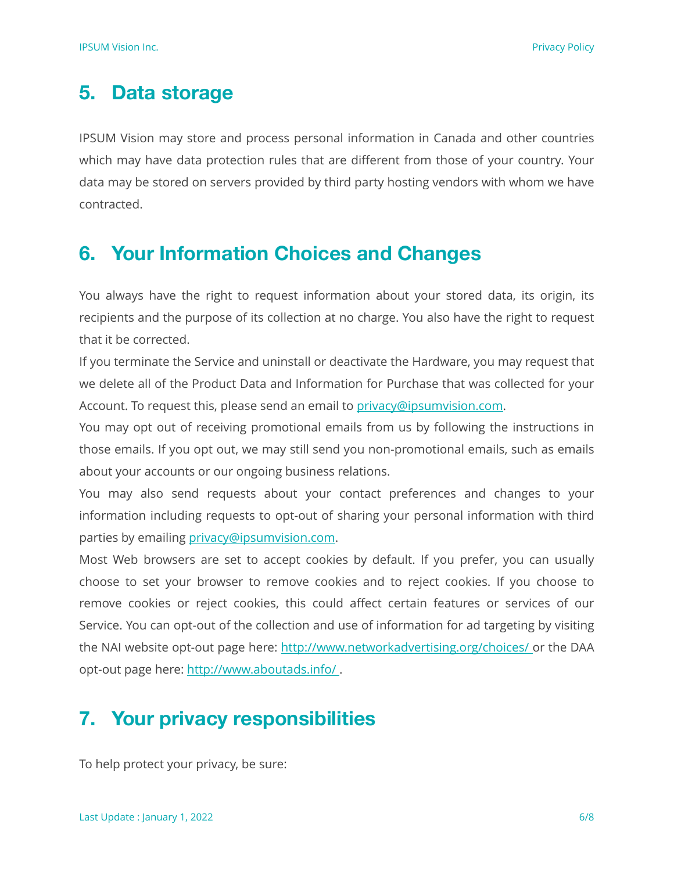# **5. Data storage**

IPSUM Vision may store and process personal information in Canada and other countries which may have data protection rules that are different from those of your country. Your data may be stored on servers provided by third party hosting vendors with whom we have contracted.

## **6. Your Information Choices and Changes**

You always have the right to request information about your stored data, its origin, its recipients and the purpose of its collection at no charge. You also have the right to request that it be corrected.

If you terminate the Service and uninstall or deactivate the Hardware, you may request that we delete all of the Product Data and Information for Purchase that was collected for your Account. To request this, please send an email to [privacy@ipsumvision.com](mailto:privacy@ipsumvision.com?subject=Privacy%20Delete%20Request&body=Please%20write%20your%20Name.%20We%20will%20come%20back%20to%20you%20to%20confirm%20your%20decision%20before%20deleting%20Data..).

You may opt out of receiving promotional emails from us by following the instructions in those emails. If you opt out, we may still send you non-promotional emails, such as emails about your accounts or our ongoing business relations.

You may also send requests about your contact preferences and changes to your information including requests to opt-out of sharing your personal information with third parties by emailing [privacy@ipsumvision.com.](mailto:privacy@ipsumvision.com?subject=Contact%20preference%20change%20&body=Please%20write%20your%20name%20and%20we%20will%20come%20back%20to%20you%20to%20do%20the%20changes.)

Most Web browsers are set to accept cookies by default. If you prefer, you can usually choose to set your browser to remove cookies and to reject cookies. If you choose to remove cookies or reject cookies, this could affect certain features or services of our Service. You can opt-out of the collection and use of information for ad targeting by visiting the NAI website opt-out page here: [http://www.networkadvertising.org/choices/ o](http://www.networkadvertising.org/choices/)r the DAA opt-out page here: <http://www.aboutads.info/>.

# **7. Your privacy responsibilities**

To help protect your privacy, be sure: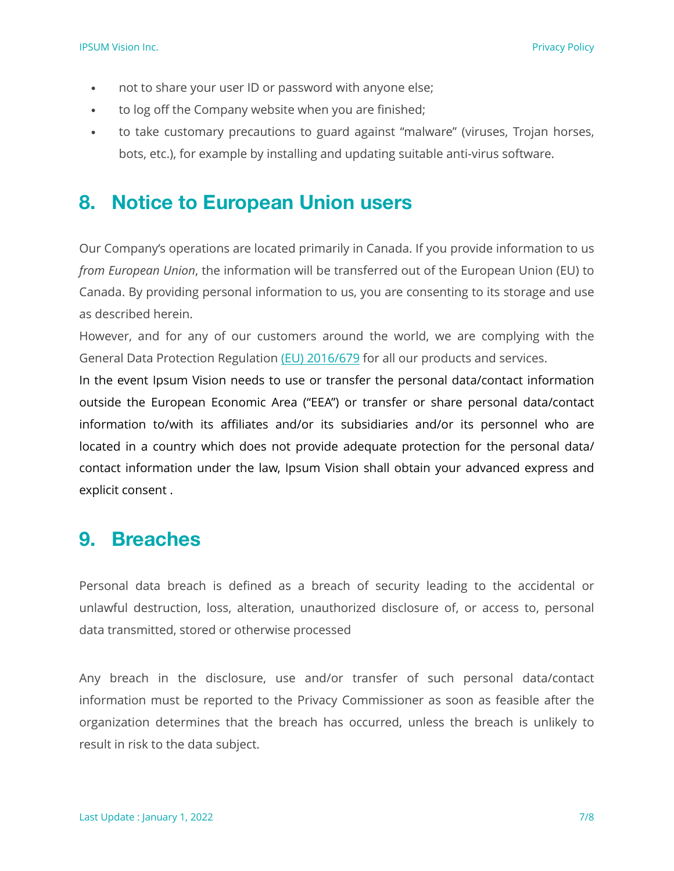- not to share your user ID or password with anyone else;
- to log off the Company website when you are finished;
- to take customary precautions to guard against "malware" (viruses, Trojan horses, bots, etc.), for example by installing and updating suitable anti-virus software.

### **8. Notice to European Union users**

Our Company's operations are located primarily in Canada. If you provide information to us *from European Union*, the information will be transferred out of the European Union (EU) to Canada. By providing personal information to us, you are consenting to its storage and use as described herein.

However, and for any of our customers around the world, we are complying with the General Data Protection Regulation [\(EU\) 2016/679](https://eur-lex.europa.eu/eli/reg/2016/679/oj) for all our products and services.

In the event Ipsum Vision needs to use or transfer the personal data/contact information outside the European Economic Area ("EEA") or transfer or share personal data/contact information to/with its affiliates and/or its subsidiaries and/or its personnel who are located in a country which does not provide adequate protection for the personal data/ contact information under the law, Ipsum Vision shall obtain your advanced express and explicit consent .

### **9. Breaches**

Personal data breach is defined as a breach of security leading to the accidental or unlawful destruction, loss, alteration, unauthorized disclosure of, or access to, personal data transmitted, stored or otherwise processed

Any breach in the disclosure, use and/or transfer of such personal data/contact information must be reported to the Privacy Commissioner as soon as feasible after the organization determines that the breach has occurred, unless the breach is unlikely to result in risk to the data subject.